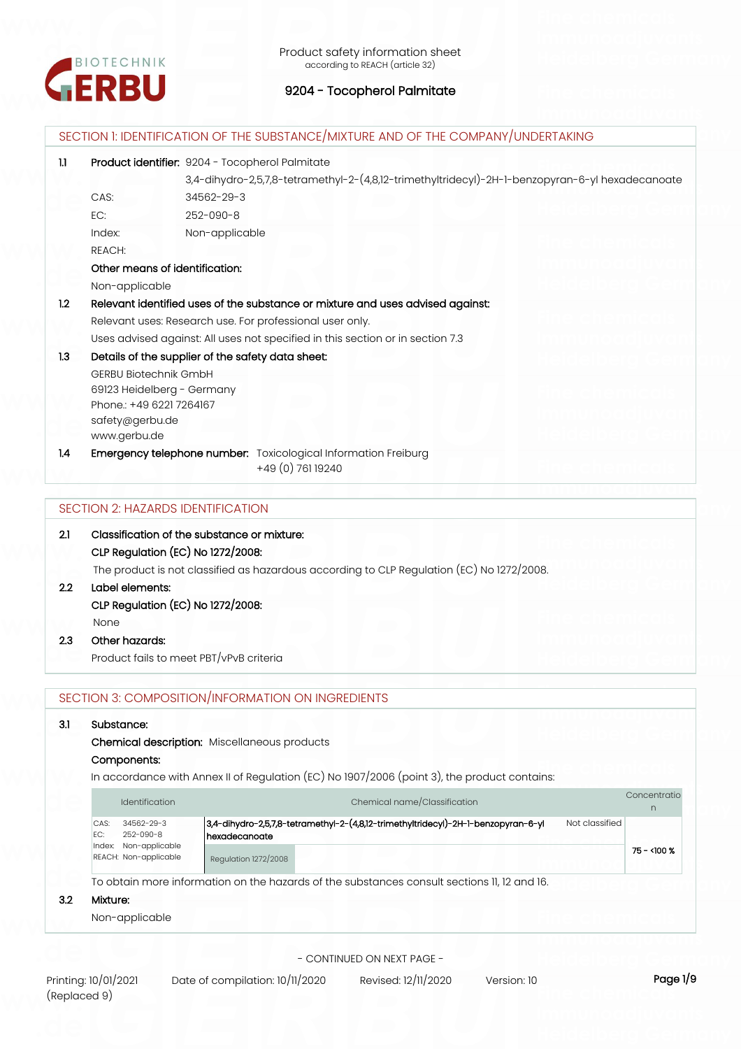

|                                                        |                                                                                | SECTION 1: IDENTIFICATION OF THE SUBSTANCE/MIXTURE AND OF THE COMPANY/UNDERTAKING               |  |
|--------------------------------------------------------|--------------------------------------------------------------------------------|-------------------------------------------------------------------------------------------------|--|
| Product identifier: 9204 - Tocopherol Palmitate<br>1.1 |                                                                                |                                                                                                 |  |
|                                                        |                                                                                | 3,4-dihydro-2,5,7,8-tetramethyl-2-(4,8,12-trimethyltridecyl)-2H-1-benzopyran-6-yl hexadecanoate |  |
|                                                        | CAS:                                                                           | 34562-29-3                                                                                      |  |
|                                                        | EC:                                                                            | $252 - 090 - 8$                                                                                 |  |
|                                                        | Index:                                                                         | Non-applicable                                                                                  |  |
|                                                        | <b>REACH:</b>                                                                  |                                                                                                 |  |
|                                                        | Other means of identification:                                                 |                                                                                                 |  |
|                                                        | Non-applicable                                                                 |                                                                                                 |  |
| 1.2                                                    | Relevant identified uses of the substance or mixture and uses advised against: |                                                                                                 |  |
|                                                        |                                                                                | Relevant uses: Research use. For professional user only.                                        |  |
|                                                        |                                                                                | Uses advised against: All uses not specified in this section or in section 7.3                  |  |
| 1.3                                                    |                                                                                | Details of the supplier of the safety data sheet:                                               |  |
|                                                        | <b>GERBU Biotechnik GmbH</b>                                                   |                                                                                                 |  |
|                                                        | 69123 Heidelberg - Germany                                                     |                                                                                                 |  |
|                                                        | Phone: +49 6221 7264167                                                        |                                                                                                 |  |
|                                                        | safety@gerbu.de<br>www.gerbu.de                                                |                                                                                                 |  |
| 1.4                                                    |                                                                                | Emergency telephone number: Toxicological Information Freiburg<br>+49 (0) 761 19240             |  |
|                                                        |                                                                                |                                                                                                 |  |

### SECTION 2: HAZARDS IDENTIFICATION

| Classification of the substance or mixture:                                               |
|-------------------------------------------------------------------------------------------|
| CLP Regulation (EC) No 1272/2008:                                                         |
| The product is not classified as hazardous according to CLP Regulation (EC) No 1272/2008. |

# **2.2 Label elements: CLP Regulation (EC) No 1272/2008:**

None

# **2.3 Other hazards:**

Product fails to meet PBT/vPvB criteria

### SECTION 3: COMPOSITION/INFORMATION ON INGREDIENTS

#### **3.1 Substance:**

**Chemical description:** Miscellaneous products

### **Components:**

In accordance with Annex II of Regulation (EC) No 1907/2006 (point 3), the product contains:

| <b>Identification</b>                          | Chemical name/Classification                                                                                         | Concentratio<br>n. |
|------------------------------------------------|----------------------------------------------------------------------------------------------------------------------|--------------------|
| 34562-29-3<br>CAS:<br>252-090-8<br>FC:         | 3,4-dihydro-2,5,7,8-tetramethyl-2-(4,8,12-trimethyltridecyl)-2H-1-benzopyran-6-yl<br>Not classified<br>hexadecanoate |                    |
| Index: Non-applicable<br>REACH: Non-applicable | Regulation 1272/2008                                                                                                 | 75 - < 100 %       |
| .                                              | To obtain more information on the hazards of the substances consult sections II, 12 and 16.                          |                    |

# **3.2 Mixture:**

Non-applicable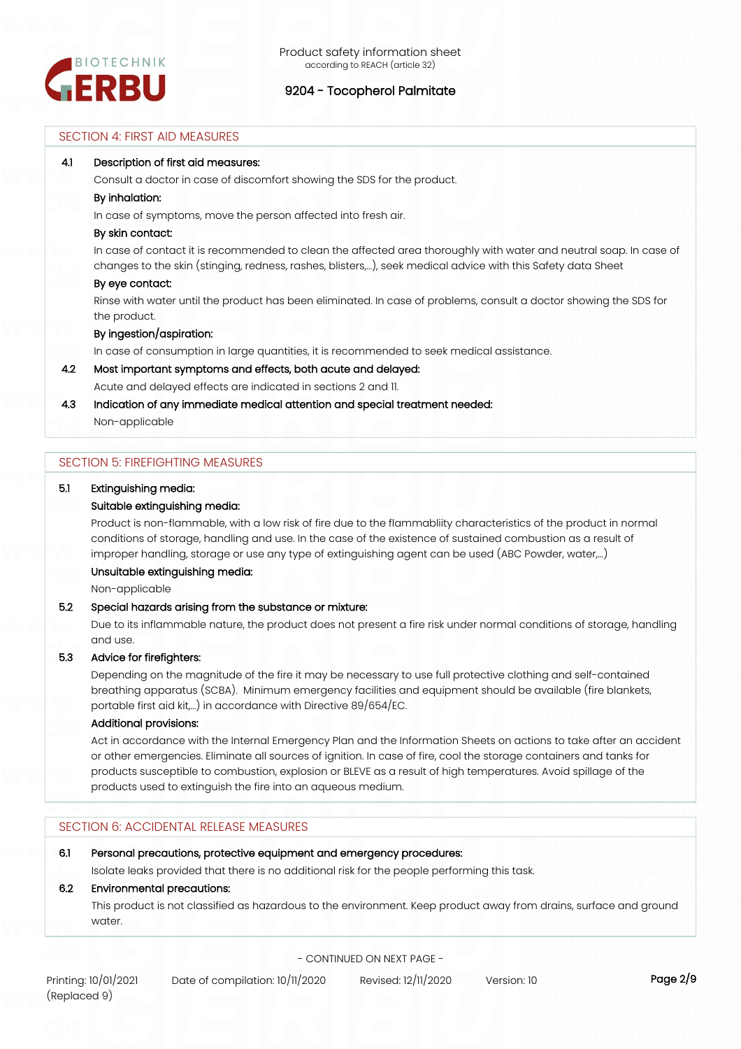

# SECTION 4: FIRST AID MEASURES

#### **4.1 Description of first aid measures:**

Consult a doctor in case of discomfort showing the SDS for the product.

# **By inhalation:**

In case of symptoms, move the person affected into fresh air.

#### **By skin contact:**

In case of contact it is recommended to clean the affected area thoroughly with water and neutral soap. In case of changes to the skin (stinging, redness, rashes, blisters,…), seek medical advice with this Safety data Sheet

#### **By eye contact:**

Rinse with water until the product has been eliminated. In case of problems, consult a doctor showing the SDS for the product.

#### **By ingestion/aspiration:**

In case of consumption in large quantities, it is recommended to seek medical assistance.

**4.2 Most important symptoms and effects, both acute and delayed:**

Acute and delayed effects are indicated in sections 2 and 11.

# **4.3 Indication of any immediate medical attention and special treatment needed:**

Non-applicable

#### SECTION 5: FIREFIGHTING MEASURES

### **5.1 Extinguishing media:**

#### **Suitable extinguishing media:**

Product is non-flammable, with a low risk of fire due to the flammabliity characteristics of the product in normal conditions of storage, handling and use. In the case of the existence of sustained combustion as a result of improper handling, storage or use any type of extinguishing agent can be used (ABC Powder, water,...)

#### **Unsuitable extinguishing media:**

Non-applicable

### **5.2 Special hazards arising from the substance or mixture:**

Due to its inflammable nature, the product does not present a fire risk under normal conditions of storage, handling and use.

#### **5.3 Advice for firefighters:**

Depending on the magnitude of the fire it may be necessary to use full protective clothing and self-contained breathing apparatus (SCBA). Minimum emergency facilities and equipment should be available (fire blankets, portable first aid kit,...) in accordance with Directive 89/654/EC.

#### **Additional provisions:**

Act in accordance with the Internal Emergency Plan and the Information Sheets on actions to take after an accident or other emergencies. Eliminate all sources of ignition. In case of fire, cool the storage containers and tanks for products susceptible to combustion, explosion or BLEVE as a result of high temperatures. Avoid spillage of the products used to extinguish the fire into an aqueous medium.

# SECTION 6: ACCIDENTAL RELEASE MEASURES

### **6.1 Personal precautions, protective equipment and emergency procedures:**

Isolate leaks provided that there is no additional risk for the people performing this task.

#### **6.2 Environmental precautions:**

This product is not classified as hazardous to the environment. Keep product away from drains, surface and ground water.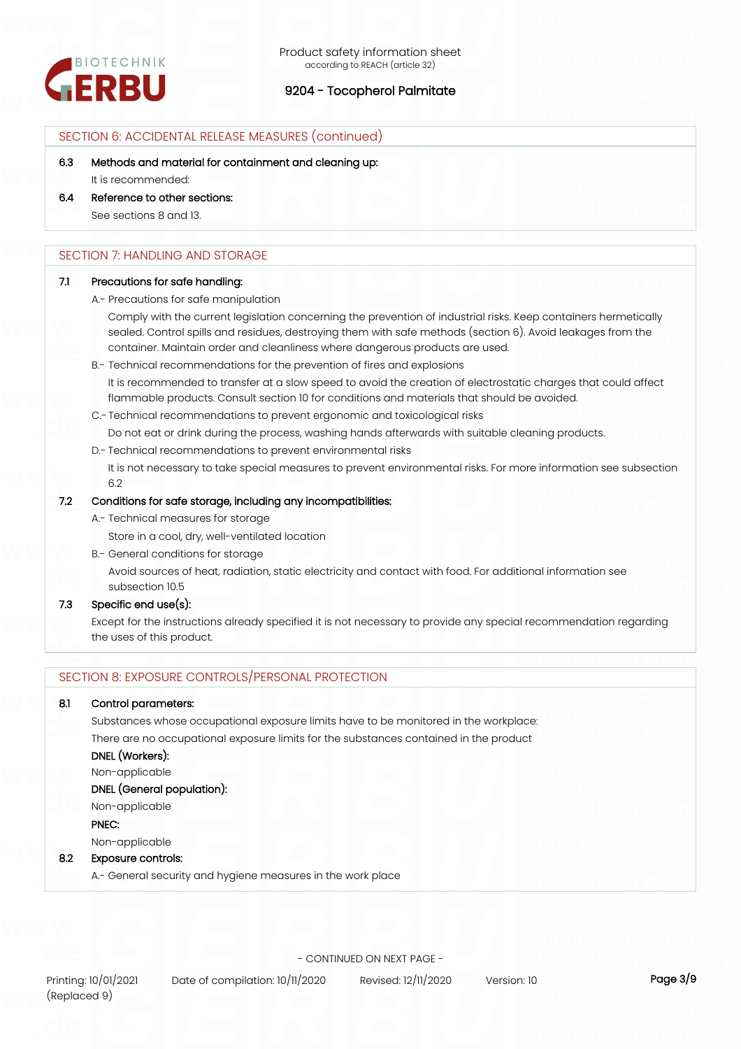

# SECTION 6: ACCIDENTAL RELEASE MEASURES (continued)

**6.3 Methods and material for containment and cleaning up:**

It is recommended:

**6.4 Reference to other sections:**

See sections 8 and 13.

# SECTION 7' HANDLING AND STORAGE

#### **7.1 Precautions for safe handling:**

A.- Precautions for safe manipulation

Comply with the current legislation concerning the prevention of industrial risks. Keep containers hermetically sealed. Control spills and residues, destroying them with safe methods (section 6). Avoid leakages from the container. Maintain order and cleanliness where dangerous products are used.

B.- Technical recommendations for the prevention of fires and explosions

It is recommended to transfer at a slow speed to avoid the creation of electrostatic charges that could affect flammable products. Consult section 10 for conditions and materials that should be avoided.

- C.- Technical recommendations to prevent ergonomic and toxicological risks
- Do not eat or drink during the process, washing hands afterwards with suitable cleaning products.
- D.- Technical recommendations to prevent environmental risks

It is not necessary to take special measures to prevent environmental risks. For more information see subsection 6.2

# **7.2 Conditions for safe storage, including any incompatibilities:**

A.- Technical measures for storage

Store in a cool, dry, well-ventilated location

B.- General conditions for storage

Avoid sources of heat, radiation, static electricity and contact with food. For additional information see subsection 10.5

### **7.3 Specific end use(s):**

Except for the instructions already specified it is not necessary to provide any special recommendation regarding the uses of this product.

# SECTION 8: EXPOSURE CONTROLS/PERSONAL PROTECTION

### **8.1 Control parameters:**

Substances whose occupational exposure limits have to be monitored in the workplace:

There are no occupational exposure limits for the substances contained in the product

# **DNEL (Workers):**

Non-applicable

# **DNEL (General population):**

Non-applicable

**PNEC:**

Non-applicable

# **8.2 Exposure controls:**

A.- General security and hygiene measures in the work place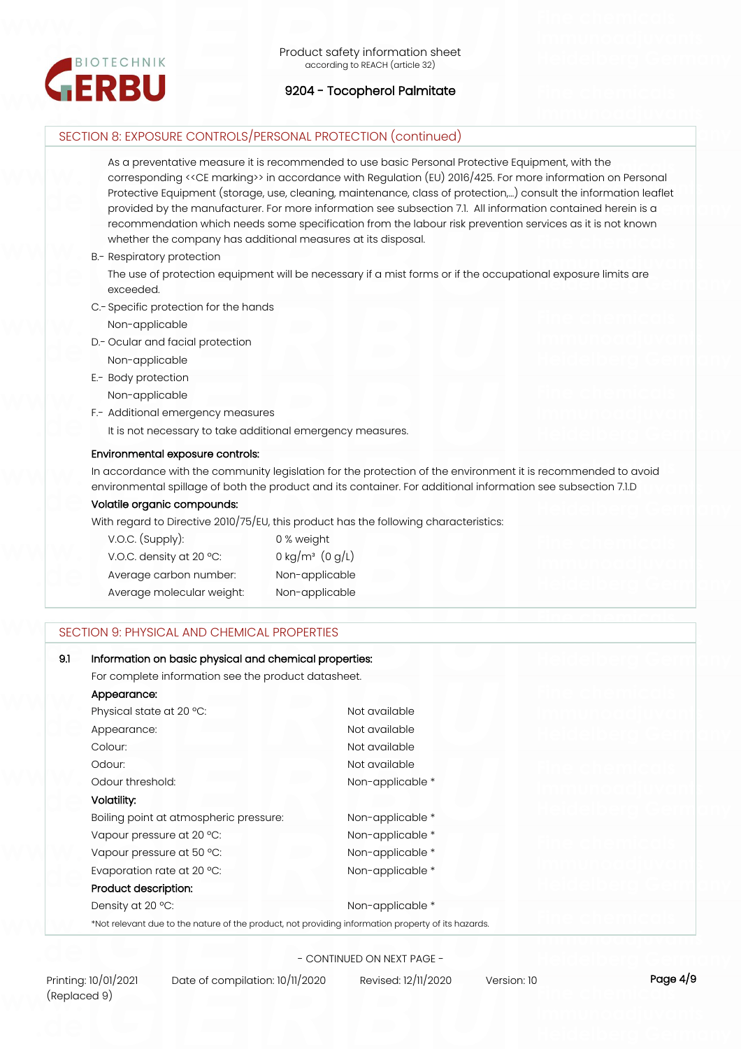

# SECTION 8: EXPOSURE CONTROLS/PERSONAL PROTECTION (continued)

As a preventative measure it is recommended to use basic Personal Protective Equipment, with the corresponding <<CE marking>> in accordance with Regulation (EU) 2016/425. For more information on Personal Protective Equipment (storage, use, cleaning, maintenance, class of protection,…) consult the information leaflet provided by the manufacturer. For more information see subsection 7.1. All information contained herein is a recommendation which needs some specification from the labour risk prevention services as it is not known whether the company has additional measures at its disposal.

#### B.- Respiratory protection

The use of protection equipment will be necessary if a mist forms or if the occupational exposure limits are exceeded.

C.- Specific protection for the hands

Non-applicable

- D.- Ocular and facial protection
- Non-applicable
- E.- Body protection Non-applicable
- F.- Additional emergency measures

It is not necessary to take additional emergency measures.

### **Environmental exposure controls:**

In accordance with the community legislation for the protection of the environment it is recommended to avoid environmental spillage of both the product and its container. For additional information see subsection 7.1.D

### **Volatile organic compounds:**

With regard to Directive 2010/75/EU, this product has the following characteristics:

| $V.O.C.$ (Supply):        | 0 % weight                    |
|---------------------------|-------------------------------|
| V.O.C. density at 20 °C:  | 0 kg/m <sup>3</sup> $(0 g/L)$ |
| Average carbon number:    | Non-applicable                |
| Average molecular weight: | Non-applicable                |

# SECTION 9: PHYSICAL AND CHEMICAL PROPERTIES

### **9.1 Information on basic physical and chemical properties:**

For complete information see the product datasheet.

| Appearance:                                                                                        |                  |  |
|----------------------------------------------------------------------------------------------------|------------------|--|
| Physical state at 20 °C:                                                                           | Not available    |  |
| Appearance:                                                                                        | Not available    |  |
| Colour:                                                                                            | Not available    |  |
| Odour:                                                                                             | Not available    |  |
| Odour threshold:                                                                                   | Non-applicable * |  |
| Volatility:                                                                                        |                  |  |
| Boiling point at atmospheric pressure:                                                             | Non-applicable * |  |
| Vapour pressure at 20 °C:                                                                          | Non-applicable * |  |
| Vapour pressure at 50 °C:                                                                          | Non-applicable * |  |
| Evaporation rate at 20 °C:                                                                         | Non-applicable * |  |
| Product description:                                                                               |                  |  |
| Density at 20 °C:                                                                                  | Non-applicable * |  |
| *Not relevant due to the nature of the product, not providing information property of its hazards. |                  |  |
|                                                                                                    |                  |  |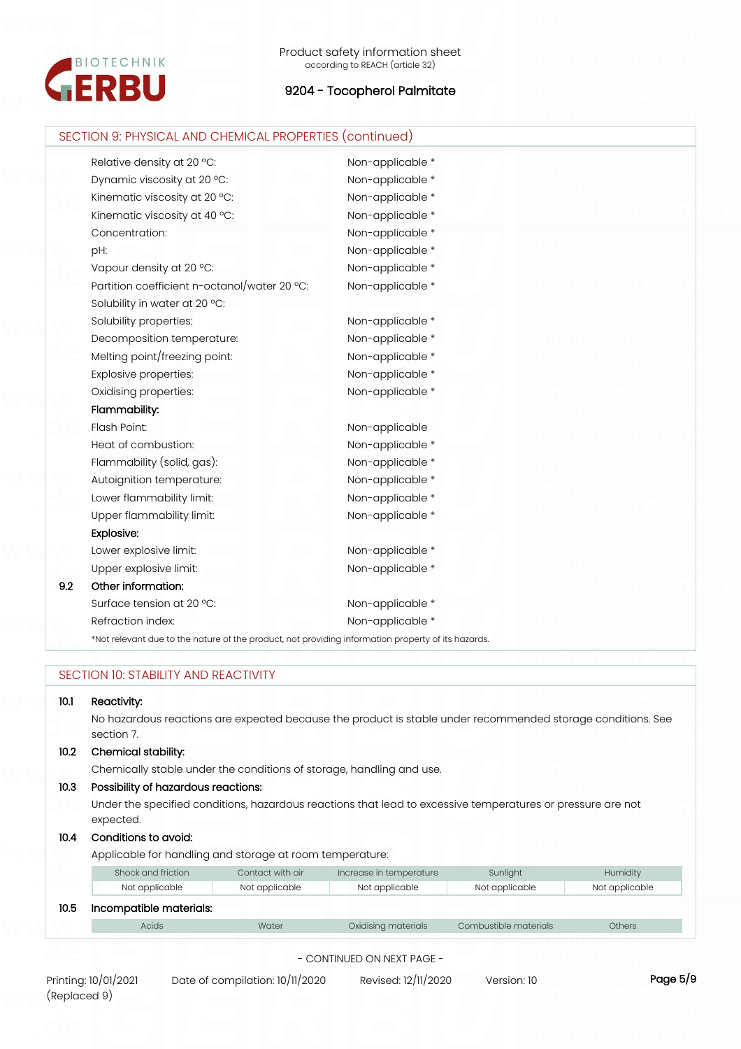

| Relative density at 20 °C:                                                                         | Non-applicable *                                                                                            |
|----------------------------------------------------------------------------------------------------|-------------------------------------------------------------------------------------------------------------|
| Dynamic viscosity at 20 °C:                                                                        | Non-applicable *                                                                                            |
| Kinematic viscosity at 20 °C:                                                                      | Non-applicable *                                                                                            |
| Kinematic viscosity at 40 °C:                                                                      | Non-applicable *                                                                                            |
| Concentration:                                                                                     | Non-applicable *                                                                                            |
| pH:                                                                                                | Non-applicable *                                                                                            |
| Vapour density at 20 °C:                                                                           | Non-applicable *                                                                                            |
| Partition coefficient n-octanol/water 20 °C:                                                       | Non-applicable *                                                                                            |
| Solubility in water at 20 °C:                                                                      |                                                                                                             |
| Solubility properties:                                                                             | Non-applicable *                                                                                            |
| Decomposition temperature:                                                                         | Non-applicable *                                                                                            |
| Melting point/freezing point:                                                                      | Non-applicable *                                                                                            |
| Explosive properties:                                                                              | Non-applicable *                                                                                            |
| Oxidising properties:                                                                              | Non-applicable *                                                                                            |
| Flammability:                                                                                      |                                                                                                             |
| Flash Point:                                                                                       | Non-applicable                                                                                              |
| Heat of combustion:                                                                                | Non-applicable *                                                                                            |
| Flammability (solid, gas):                                                                         | Non-applicable *                                                                                            |
| Autoignition temperature:                                                                          | Non-applicable *                                                                                            |
| Lower flammability limit:                                                                          | Non-applicable *                                                                                            |
| Upper flammability limit:                                                                          | Non-applicable *                                                                                            |
| Explosive:                                                                                         |                                                                                                             |
| Lower explosive limit:                                                                             | Non-applicable *                                                                                            |
| Upper explosive limit:                                                                             | Non-applicable *                                                                                            |
| Other information:                                                                                 |                                                                                                             |
| Surface tension at 20 °C:                                                                          | Non-applicable *                                                                                            |
| Refraction index:                                                                                  | Non-applicable *                                                                                            |
| *Not relevant due to the nature of the product, not providing information property of its hazards. |                                                                                                             |
|                                                                                                    |                                                                                                             |
| SECTION 10: STABILITY AND REACTIVITY                                                               |                                                                                                             |
| Reactivity:                                                                                        |                                                                                                             |
| section 7.                                                                                         | No hazardous reactions are expected because the product is stable under recommended storage conditions. See |

### **10.2 Chemical stability:**

Chemically stable under the conditions of storage, handling and use.

# **10.3 Possibility of hazardous reactions:**

Under the specified conditions, hazardous reactions that lead to excessive temperatures or pressure are not expected.

# **10.4 Conditions to avoid:**

Applicable for handling and storage at room temperature:

|      | Shock and friction      | Contact with air | Increase in temperature | Sunlight       | Humidity       |
|------|-------------------------|------------------|-------------------------|----------------|----------------|
|      | Not applicable          | Not applicable   | Not applicable          | Not applicable | Not applicable |
| 10.5 | Incompatible materials: |                  |                         |                |                |
|      |                         |                  |                         |                |                |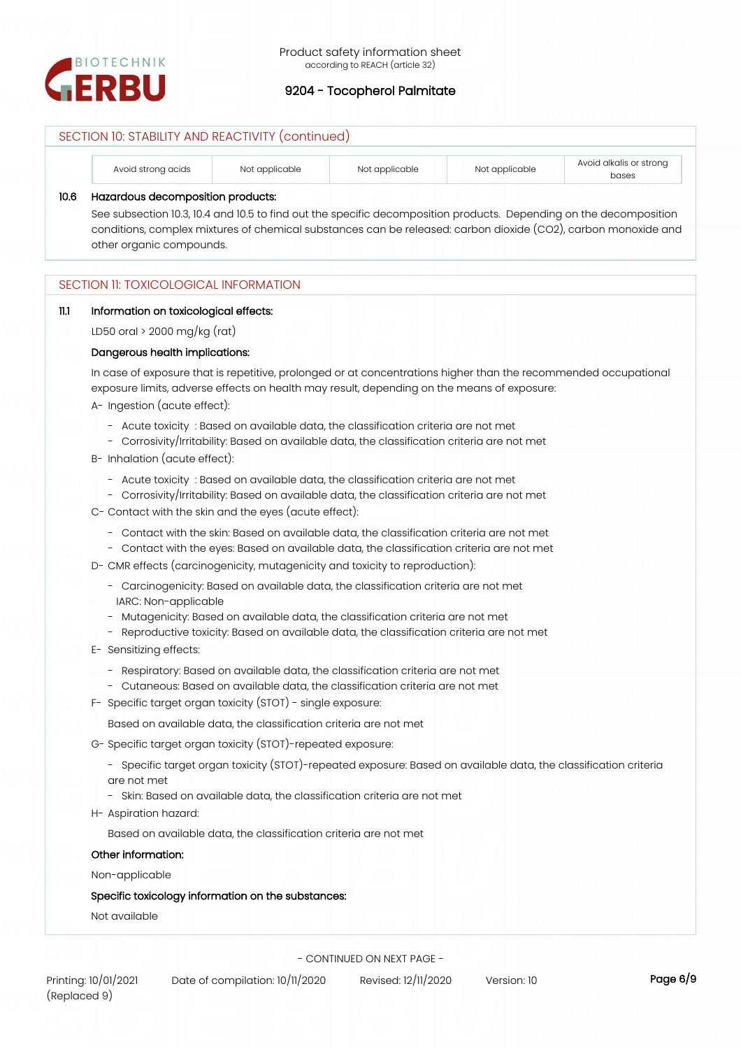

| SECTION 10: STABILITY AND REACTIVITY (continued) |                |                |                |                                  |
|--------------------------------------------------|----------------|----------------|----------------|----------------------------------|
| Avoid strong acids                               | Not applicable | Not applicable | Not applicable | Avoid alkalis or strong<br>bases |

#### **10.6 Hazardous decomposition products:**

See subsection 10.3, 10.4 and 10.5 to find out the specific decomposition products. Depending on the decomposition conditions, complex mixtures of chemical substances can be released: carbon dioxide (CO2), carbon monoxide and other organic compounds.

### SECTION 11: TOXICOLOGICAL INFORMATION

#### **11.1 Information on toxicological effects:**

LD50 oral > 2000 mg/kg (rat)

#### **Dangerous health implications:**

In case of exposure that is repetitive, prolonged or at concentrations higher than the recommended occupational exposure limits, adverse effects on health may result, depending on the means of exposure: A- Ingestion (acute effect):

- Acute toxicity : Based on available data, the classification criteria are not met
- Corrosivity/Irritability: Based on available data, the classification criteria are not met
- B- Inhalation (acute effect):
	- Acute toxicity : Based on available data, the classification criteria are not met
	- Corrosivity/Irritability: Based on available data, the classification criteria are not met
- C- Contact with the skin and the eyes (acute effect):
	- Contact with the skin: Based on available data, the classification criteria are not met
	- Contact with the eyes: Based on available data, the classification criteria are not met
- D- CMR effects (carcinogenicity, mutagenicity and toxicity to reproduction):
	- Carcinogenicity: Based on available data, the classification criteria are not met IARC: Non-applicable
	- Mutagenicity: Based on available data, the classification criteria are not met
	- Reproductive toxicity: Based on available data, the classification criteria are not met
- E- Sensitizing effects:
	- Respiratory: Based on available data, the classification criteria are not met
	- Cutaneous: Based on available data, the classification criteria are not met
- F- Specific target organ toxicity (STOT) single exposure:

Based on available data, the classification criteria are not met

- G- Specific target organ toxicity (STOT)-repeated exposure:
	- Specific target organ toxicity (STOT)-repeated exposure: Based on available data, the classification criteria are not met
	- Skin: Based on available data, the classification criteria are not met
- H- Aspiration hazard:

Based on available data, the classification criteria are not met

### **Other information:**

Non-applicable

#### **Specific toxicology information on the substances:**

Not available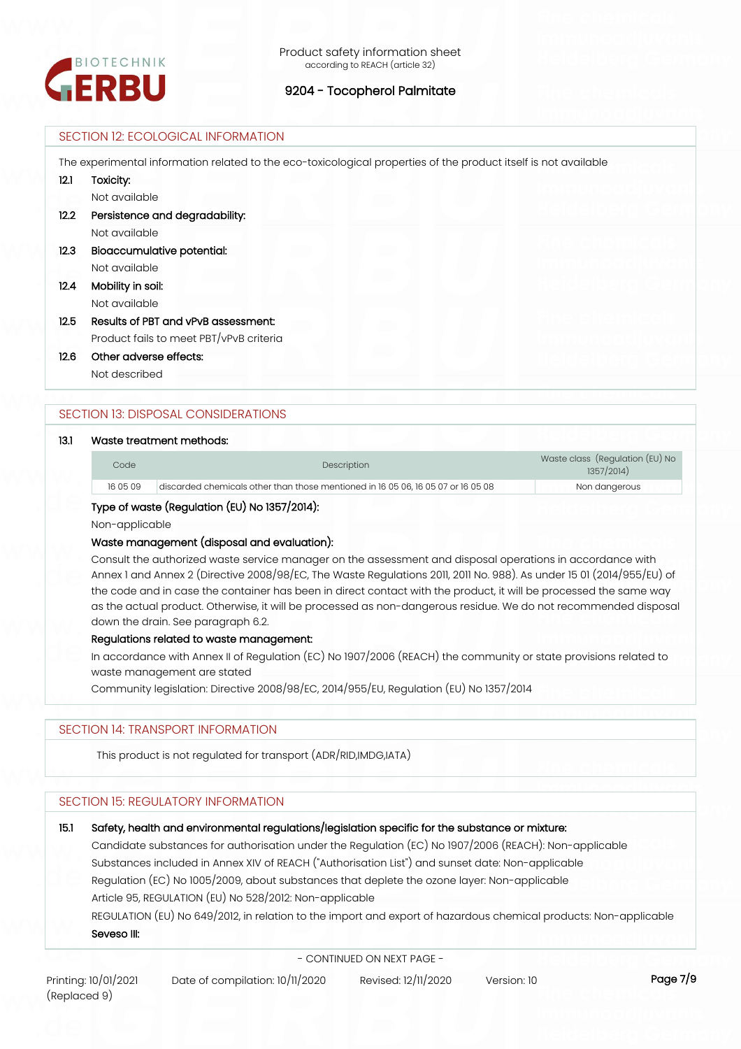

|      | <b>SECTION 12: ECOLOGICAL INFORMATION</b>                                                                       |  |
|------|-----------------------------------------------------------------------------------------------------------------|--|
|      | The experimental information related to the eco-toxicological properties of the product itself is not available |  |
| 12.1 | Toxicity:                                                                                                       |  |
|      | Not available                                                                                                   |  |
| 12.2 | Persistence and degradability:                                                                                  |  |
|      | Not available                                                                                                   |  |
| 12.3 | Bioaccumulative potential:                                                                                      |  |
|      | Not available                                                                                                   |  |
| 12.4 | Mobility in soil:                                                                                               |  |
|      | Not available                                                                                                   |  |
| 12.5 | Results of PBT and vPvB assessment:                                                                             |  |
|      | Product fails to meet PBT/vPvB criteria                                                                         |  |
| 12.6 | Other adverse effects:                                                                                          |  |
|      | Not described                                                                                                   |  |

### SECTION 13: DISPOSAL CONSIDERATIONS

#### **13.1 Waste treatment methods:**

| Code     | <b>Description</b>                                                               | Waste class (Regulation (EU) No<br>1357/2014) |
|----------|----------------------------------------------------------------------------------|-----------------------------------------------|
| 16 05 09 | discarded chemicals other than those mentioned in 16 05 06, 16 05 07 or 16 05 08 | Non dangerous                                 |
|          |                                                                                  |                                               |

### **Type of waste (Regulation (EU) No 1357/2014):**

Non-applicable

### **Waste management (disposal and evaluation):**

Consult the authorized waste service manager on the assessment and disposal operations in accordance with Annex 1 and Annex 2 (Directive 2008/98/EC, The Waste Regulations 2011, 2011 No. 988). As under 15 01 (2014/955/EU) of the code and in case the container has been in direct contact with the product, it will be processed the same way as the actual product. Otherwise, it will be processed as non-dangerous residue. We do not recommended disposal down the drain. See paragraph 6.2.

#### **Regulations related to waste management:**

In accordance with Annex II of Regulation (EC) No 1907/2006 (REACH) the community or state provisions related to waste management are stated

Community legislation: Directive 2008/98/EC, 2014/955/EU, Regulation (EU) No 1357/2014

# SECTION 14: TRANSPORT INFORMATION

This product is not regulated for transport (ADR/RID,IMDG,IATA)

# SECTION 15: REGULATORY INFORMATION

# Candidate substances for authorisation under the Regulation (EC) No 1907/2006 (REACH): Non-applicable Substances included in Annex XIV of REACH ("Authorisation List") and sunset date: Non-applicable Regulation (EC) No 1005/2009, about substances that deplete the ozone layer: Non-applicable Article 95, REGULATION (EU) No 528/2012: Non-applicable REGULATION (EU) No 649/2012, in relation to the import and export of hazardous chemical products: Non-applicable **15.1 Safety, health and environmental regulations/legislation specific for the substance or mixture: Seveso III:**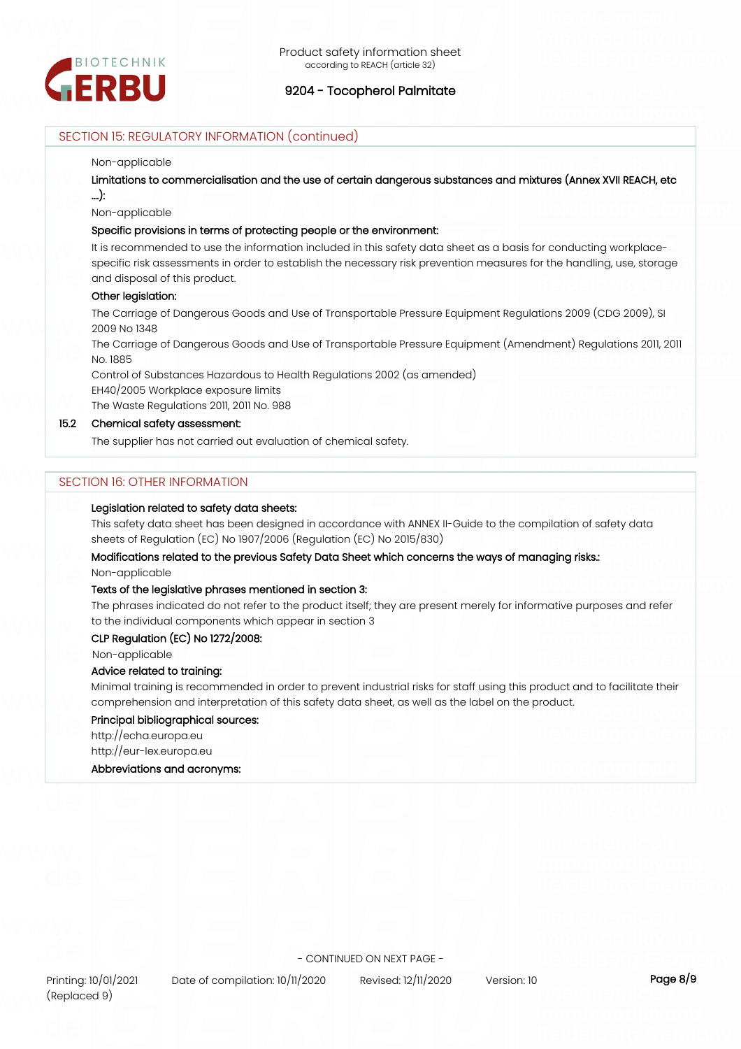

# SECTION 15: REGULATORY INFORMATION (continued)

#### Non-applicable

**Limitations to commercialisation and the use of certain dangerous substances and mixtures (Annex XVII REACH, etc ….):**

Non-applicable

#### **Specific provisions in terms of protecting people or the environment:**

It is recommended to use the information included in this safety data sheet as a basis for conducting workplacespecific risk assessments in order to establish the necessary risk prevention measures for the handling, use, storage and disposal of this product.

#### **Other legislation:**

The Carriage of Dangerous Goods and Use of Transportable Pressure Equipment Regulations 2009 (CDG 2009), SI 2009 No 1348

The Carriage of Dangerous Goods and Use of Transportable Pressure Equipment (Amendment) Regulations 2011, 2011 No. 1885

Control of Substances Hazardous to Health Regulations 2002 (as amended) EH40/2005 Workplace exposure limits

The Waste Regulations 2011, 2011 No. 988

#### **15.2 Chemical safety assessment:**

The supplier has not carried out evaluation of chemical safety.

### SECTION 16: OTHER INFORMATION

#### **Legislation related to safety data sheets:**

This safety data sheet has been designed in accordance with ANNEX II-Guide to the compilation of safety data sheets of Regulation (EC) No 1907/2006 (Regulation (EC) No 2015/830)

#### **Modifications related to the previous Safety Data Sheet which concerns the ways of managing risks.:**

Non-applicable

#### **Texts of the legislative phrases mentioned in section 3:**

The phrases indicated do not refer to the product itself; they are present merely for informative purposes and refer to the individual components which appear in section 3

#### **CLP Regulation (EC) No 1272/2008:**

Non-applicable

#### **Advice related to training:**

Minimal training is recommended in order to prevent industrial risks for staff using this product and to facilitate their comprehension and interpretation of this safety data sheet, as well as the label on the product.

#### **Principal bibliographical sources:**

http://echa.europa.eu

http://eur-lex.europa.eu

#### **Abbreviations and acronyms:**

Printing: 10/01/2021 Date of compilation: 10/11/2020 Revised: 12/11/2020 Version: 10 **Page 8/9**